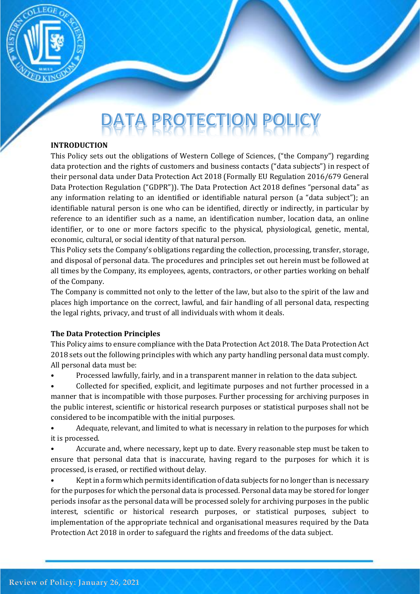

# DATA PROTECTION POL

#### **INTRODUCTION**

This Policy sets out the obligations of Western College of Sciences, ("the Company") regarding data protection and the rights of customers and business contacts ("data subjects") in respect of their personal data under Data Protection Act 2018 (Formally EU Regulation 2016/679 General Data Protection Regulation ("GDPR")). The Data Protection Act 2018 defines "personal data" as any information relating to an identified or identifiable natural person (a "data subject"); an identifiable natural person is one who can be identified, directly or indirectly, in particular by reference to an identifier such as a name, an identification number, location data, an online identifier, or to one or more factors specific to the physical, physiological, genetic, mental, economic, cultural, or social identity of that natural person.

This Policy sets the Company's obligations regarding the collection, processing, transfer, storage, and disposal of personal data. The procedures and principles set out herein must be followed at all times by the Company, its employees, agents, contractors, or other parties working on behalf of the Company.

The Company is committed not only to the letter of the law, but also to the spirit of the law and places high importance on the correct, lawful, and fair handling of all personal data, respecting the legal rights, privacy, and trust of all individuals with whom it deals.

## **The Data Protection Principles**

This Policy aims to ensure compliance with the Data Protection Act 2018. The Data Protection Act 2018 sets out the following principles with which any party handling personal data must comply. All personal data must be:

• Processed lawfully, fairly, and in a transparent manner in relation to the data subject.

• Collected for specified, explicit, and legitimate purposes and not further processed in a manner that is incompatible with those purposes. Further processing for archiving purposes in the public interest, scientific or historical research purposes or statistical purposes shall not be considered to be incompatible with the initial purposes.

• Adequate, relevant, and limited to what is necessary in relation to the purposes for which it is processed.

• Accurate and, where necessary, kept up to date. Every reasonable step must be taken to ensure that personal data that is inaccurate, having regard to the purposes for which it is processed, is erased, or rectified without delay.

• Kept in a form which permits identification of data subjects for no longer than is necessary for the purposes for which the personal data is processed. Personal data may be stored for longer periods insofar as the personal data will be processed solely for archiving purposes in the public interest, scientific or historical research purposes, or statistical purposes, subject to implementation of the appropriate technical and organisational measures required by the Data Protection Act 2018 in order to safeguard the rights and freedoms of the data subject.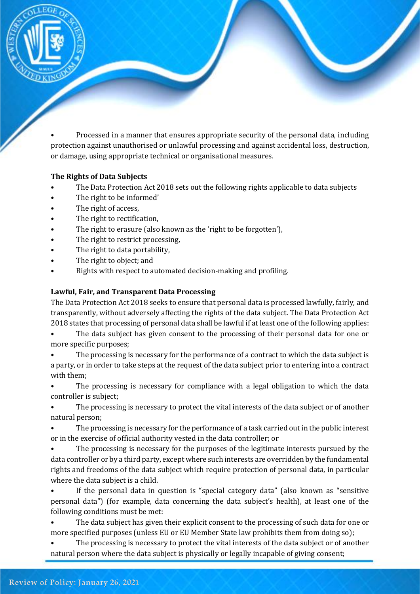

or damage, using appropriate technical or organisational measures.

#### **The Rights of Data Subjects**

- The Data Protection Act 2018 sets out the following rights applicable to data subjects
- The right to be informed'
- The right of access,
- The right to rectification,
- The right to erasure (also known as the 'right to be forgotten'),
- The right to restrict processing,
- The right to data portability,
- The right to object; and
- Rights with respect to automated decision-making and profiling.

#### **Lawful, Fair, and Transparent Data Processing**

The Data Protection Act 2018 seeks to ensure that personal data is processed lawfully, fairly, and transparently, without adversely affecting the rights of the data subject. The Data Protection Act 2018 states that processing of personal data shall be lawful if at least one of the following applies:

The data subject has given consent to the processing of their personal data for one or more specific purposes;

The processing is necessary for the performance of a contract to which the data subject is a party, or in order to take steps at the request of the data subject prior to entering into a contract with them;

• The processing is necessary for compliance with a legal obligation to which the data controller is subject;

The processing is necessary to protect the vital interests of the data subject or of another natural person;

• The processing is necessary for the performance of a task carried out in the public interest or in the exercise of official authority vested in the data controller; or

The processing is necessary for the purposes of the legitimate interests pursued by the data controller or by a third party, except where such interests are overridden by the fundamental rights and freedoms of the data subject which require protection of personal data, in particular where the data subject is a child.

If the personal data in question is "special category data" (also known as "sensitive personal data") (for example, data concerning the data subject's health), at least one of the following conditions must be met:

The data subject has given their explicit consent to the processing of such data for one or more specified purposes (unless EU or EU Member State law prohibits them from doing so);

The processing is necessary to protect the vital interests of the data subject or of another natural person where the data subject is physically or legally incapable of giving consent;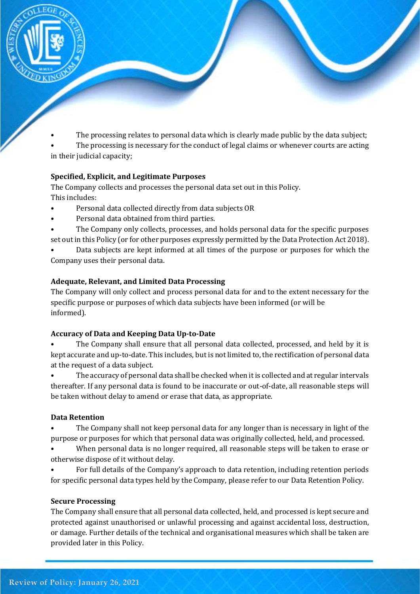

The processing relates to personal data which is clearly made public by the data subject;

The processing is necessary for the conduct of legal claims or whenever courts are acting in their judicial capacity;

# **Specified, Explicit, and Legitimate Purposes**

The Company collects and processes the personal data set out in this Policy. This includes:

- Personal data collected directly from data subjects OR
- Personal data obtained from third parties.
- The Company only collects, processes, and holds personal data for the specific purposes set out in this Policy (or for other purposes expressly permitted by the Data Protection Act 2018).

• Data subjects are kept informed at all times of the purpose or purposes for which the Company uses their personal data.

# **Adequate, Relevant, and Limited Data Processing**

The Company will only collect and process personal data for and to the extent necessary for the specific purpose or purposes of which data subjects have been informed (or will be informed).

# **Accuracy of Data and Keeping Data Up-to-Date**

• The Company shall ensure that all personal data collected, processed, and held by it is kept accurate and up-to-date. This includes, but is not limited to, the rectification of personal data at the request of a data subject.

• The accuracy of personal data shall be checked when it is collected and at regular intervals thereafter. If any personal data is found to be inaccurate or out-of-date, all reasonable steps will be taken without delay to amend or erase that data, as appropriate.

# **Data Retention**

• The Company shall not keep personal data for any longer than is necessary in light of the purpose or purposes for which that personal data was originally collected, held, and processed.

• When personal data is no longer required, all reasonable steps will be taken to erase or otherwise dispose of it without delay.

• For full details of the Company's approach to data retention, including retention periods for specific personal data types held by the Company, please refer to our Data Retention Policy.

# **Secure Processing**

The Company shall ensure that all personal data collected, held, and processed is kept secure and protected against unauthorised or unlawful processing and against accidental loss, destruction, or damage. Further details of the technical and organisational measures which shall be taken are provided later in this Policy.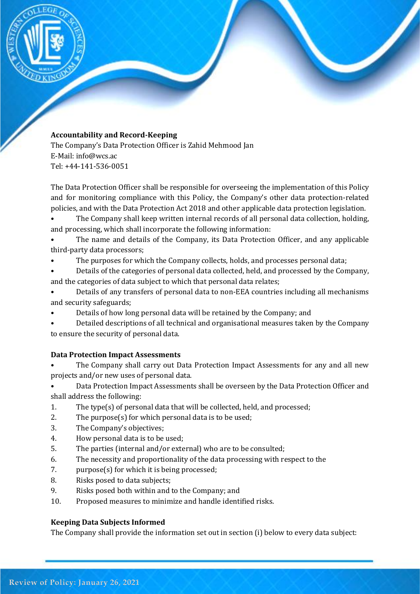

## **Accountability and Record-Keeping**

The Company's Data Protection Officer is Zahid Mehmood Jan E-Mail: info@wcs.ac Tel: +44-141-536-0051

The Data Protection Officer shall be responsible for overseeing the implementation of this Policy and for monitoring compliance with this Policy, the Company's other data protection-related policies, and with the Data Protection Act 2018 and other applicable data protection legislation.

• The Company shall keep written internal records of all personal data collection, holding, and processing, which shall incorporate the following information:

The name and details of the Company, its Data Protection Officer, and any applicable third-party data processors;

• The purposes for which the Company collects, holds, and processes personal data;

• Details of the categories of personal data collected, held, and processed by the Company, and the categories of data subject to which that personal data relates;

- Details of any transfers of personal data to non-EEA countries including all mechanisms and security safeguards;
- Details of how long personal data will be retained by the Company; and
- Detailed descriptions of all technical and organisational measures taken by the Company to ensure the security of personal data.

# **Data Protection Impact Assessments**

The Company shall carry out Data Protection Impact Assessments for any and all new projects and/or new uses of personal data.

- Data Protection Impact Assessments shall be overseen by the Data Protection Officer and shall address the following:
- 1. The type(s) of personal data that will be collected, held, and processed;
- 2. The purpose(s) for which personal data is to be used;
- 3. The Company's objectives;
- 4. How personal data is to be used;
- 5. The parties (internal and/or external) who are to be consulted;
- 6. The necessity and proportionality of the data processing with respect to the
- 7. purpose(s) for which it is being processed;
- 8. Risks posed to data subjects;
- 9. Risks posed both within and to the Company; and
- 10. Proposed measures to minimize and handle identified risks.

# **Keeping Data Subjects Informed**

The Company shall provide the information set out in section (i) below to every data subject: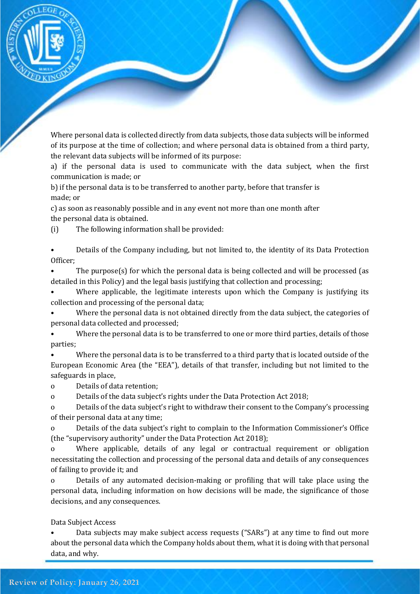

Where personal data is collected directly from data subjects, those data subjects will be informed of its purpose at the time of collection; and where personal data is obtained from a third party, the relevant data subjects will be informed of its purpose:

a) if the personal data is used to communicate with the data subject, when the first communication is made; or

b) if the personal data is to be transferred to another party, before that transfer is made; or

c) as soon as reasonably possible and in any event not more than one month after the personal data is obtained.

(i) The following information shall be provided:

• Details of the Company including, but not limited to, the identity of its Data Protection Officer;

• The purpose(s) for which the personal data is being collected and will be processed (as detailed in this Policy) and the legal basis justifying that collection and processing;

Where applicable, the legitimate interests upon which the Company is justifying its collection and processing of the personal data;

• Where the personal data is not obtained directly from the data subject, the categories of personal data collected and processed;

• Where the personal data is to be transferred to one or more third parties, details of those parties;

• Where the personal data is to be transferred to a third party that is located outside of the European Economic Area (the "EEA"), details of that transfer, including but not limited to the safeguards in place,

o Details of data retention;

o Details of the data subject's rights under the Data Protection Act 2018;

o Details of the data subject's right to withdraw their consent to the Company's processing of their personal data at any time;

o Details of the data subject's right to complain to the Information Commissioner's Office (the "supervisory authority" under the Data Protection Act 2018);

o Where applicable, details of any legal or contractual requirement or obligation necessitating the collection and processing of the personal data and details of any consequences of failing to provide it; and

o Details of any automated decision-making or profiling that will take place using the personal data, including information on how decisions will be made, the significance of those decisions, and any consequences.

Data Subject Access

• Data subjects may make subject access requests ("SARs") at any time to find out more about the personal data which the Company holds about them, what it is doing with that personal data, and why.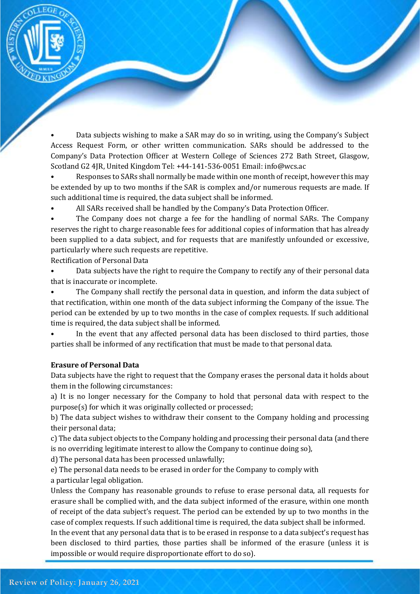

• Data subjects wishing to make a SAR may do so in writing, using the Company's Subject Access Request Form, or other written communication. SARs should be addressed to the Company's Data Protection Officer at Western College of Sciences 272 Bath Street, Glasgow, Scotland G2 4JR, United Kingdom Tel: +44-141-536-0051 Email: info@wcs.ac

• Responses to SARs shall normally be made within one month of receipt, however this may be extended by up to two months if the SAR is complex and/or numerous requests are made. If such additional time is required, the data subject shall be informed.

• All SARs received shall be handled by the Company's Data Protection Officer.

The Company does not charge a fee for the handling of normal SARs. The Company reserves the right to charge reasonable fees for additional copies of information that has already been supplied to a data subject, and for requests that are manifestly unfounded or excessive, particularly where such requests are repetitive.

Rectification of Personal Data

• Data subjects have the right to require the Company to rectify any of their personal data that is inaccurate or incomplete.

• The Company shall rectify the personal data in question, and inform the data subject of that rectification, within one month of the data subject informing the Company of the issue. The period can be extended by up to two months in the case of complex requests. If such additional time is required, the data subject shall be informed.

In the event that any affected personal data has been disclosed to third parties, those parties shall be informed of any rectification that must be made to that personal data.

## **Erasure of Personal Data**

Data subjects have the right to request that the Company erases the personal data it holds about them in the following circumstances:

a) It is no longer necessary for the Company to hold that personal data with respect to the purpose(s) for which it was originally collected or processed;

b) The data subject wishes to withdraw their consent to the Company holding and processing their personal data;

c) The data subject objects to the Company holding and processing their personal data (and there is no overriding legitimate interest to allow the Company to continue doing so),

d) The personal data has been processed unlawfully;

e) The personal data needs to be erased in order for the Company to comply with a particular legal obligation.

Unless the Company has reasonable grounds to refuse to erase personal data, all requests for erasure shall be complied with, and the data subject informed of the erasure, within one month of receipt of the data subject's request. The period can be extended by up to two months in the case of complex requests. If such additional time is required, the data subject shall be informed.

In the event that any personal data that is to be erased in response to a data subject's request has been disclosed to third parties, those parties shall be informed of the erasure (unless it is impossible or would require disproportionate effort to do so).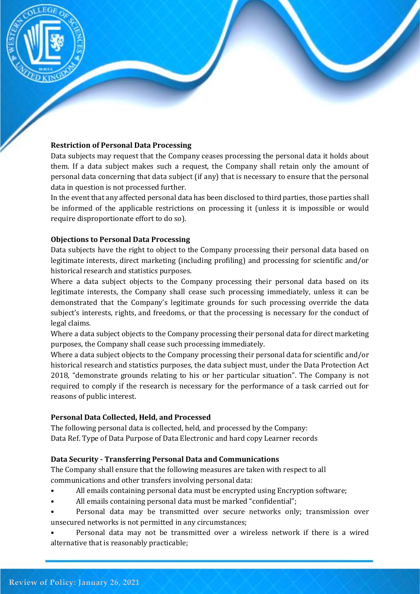

#### **Restriction of Personal Data Processing**

Data subjects may request that the Company ceases processing the personal data it holds about them. If a data subject makes such a request, the Company shall retain only the amount of personal data concerning that data subject (if any) that is necessary to ensure that the personal data in question is not processed further.

In the event that any affected personal data has been disclosed to third parties, those parties shall be informed of the applicable restrictions on processing it (unless it is impossible or would require disproportionate effort to do so).

#### **Objections to Personal Data Processing**

Data subjects have the right to object to the Company processing their personal data based on legitimate interests, direct marketing (including profiling) and processing for scientific and/or historical research and statistics purposes.

Where a data subject objects to the Company processing their personal data based on its legitimate interests, the Company shall cease such processing immediately, unless it can be demonstrated that the Company's legitimate grounds for such processing override the data subject's interests, rights, and freedoms, or that the processing is necessary for the conduct of legal claims.

Where a data subject objects to the Company processing their personal data for direct marketing purposes, the Company shall cease such processing immediately.

Where a data subject objects to the Company processing their personal data for scientific and/or historical research and statistics purposes, the data subject must, under the Data Protection Act 2018, "demonstrate grounds relating to his or her particular situation". The Company is not required to comply if the research is necessary for the performance of a task carried out for reasons of public interest.

#### **Personal Data Collected, Held, and Processed**

The following personal data is collected, held, and processed by the Company: Data Ref. Type of Data Purpose of Data Electronic and hard copy Learner records

## **Data Security - Transferring Personal Data and Communications**

The Company shall ensure that the following measures are taken with respect to all communications and other transfers involving personal data:

- All emails containing personal data must be encrypted using Encryption software;
- All emails containing personal data must be marked "confidential";
- Personal data may be transmitted over secure networks only; transmission over unsecured networks is not permitted in any circumstances;
- Personal data may not be transmitted over a wireless network if there is a wired alternative that is reasonably practicable;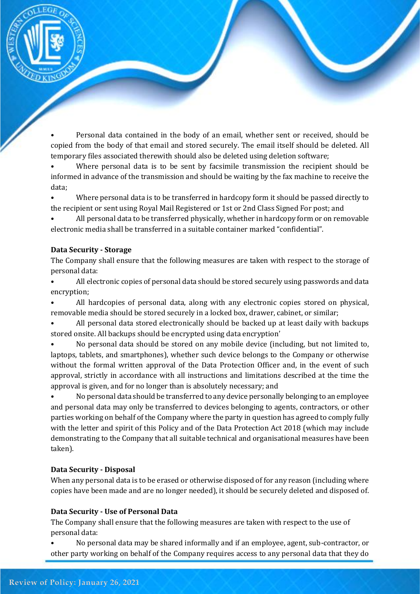

• Personal data contained in the body of an email, whether sent or received, should be copied from the body of that email and stored securely. The email itself should be deleted. All temporary files associated therewith should also be deleted using deletion software;

• Where personal data is to be sent by facsimile transmission the recipient should be informed in advance of the transmission and should be waiting by the fax machine to receive the data;

• Where personal data is to be transferred in hardcopy form it should be passed directly to the recipient or sent using Royal Mail Registered or 1st or 2nd Class Signed For post; and

• All personal data to be transferred physically, whether in hardcopy form or on removable electronic media shall be transferred in a suitable container marked "confidential".

#### **Data Security - Storage**

The Company shall ensure that the following measures are taken with respect to the storage of personal data:

• All electronic copies of personal data should be stored securely using passwords and data encryption;

• All hardcopies of personal data, along with any electronic copies stored on physical, removable media should be stored securely in a locked box, drawer, cabinet, or similar;

• All personal data stored electronically should be backed up at least daily with backups stored onsite. All backups should be encrypted using data encryption'

• No personal data should be stored on any mobile device (including, but not limited to, laptops, tablets, and smartphones), whether such device belongs to the Company or otherwise without the formal written approval of the Data Protection Officer and, in the event of such approval, strictly in accordance with all instructions and limitations described at the time the approval is given, and for no longer than is absolutely necessary; and

• No personal data should be transferred to any device personally belonging to an employee and personal data may only be transferred to devices belonging to agents, contractors, or other parties working on behalf of the Company where the party in question has agreed to comply fully with the letter and spirit of this Policy and of the Data Protection Act 2018 (which may include demonstrating to the Company that all suitable technical and organisational measures have been taken).

## **Data Security - Disposal**

When any personal data is to be erased or otherwise disposed of for any reason (including where copies have been made and are no longer needed), it should be securely deleted and disposed of.

## **Data Security - Use of Personal Data**

The Company shall ensure that the following measures are taken with respect to the use of personal data:

• No personal data may be shared informally and if an employee, agent, sub-contractor, or other party working on behalf of the Company requires access to any personal data that they do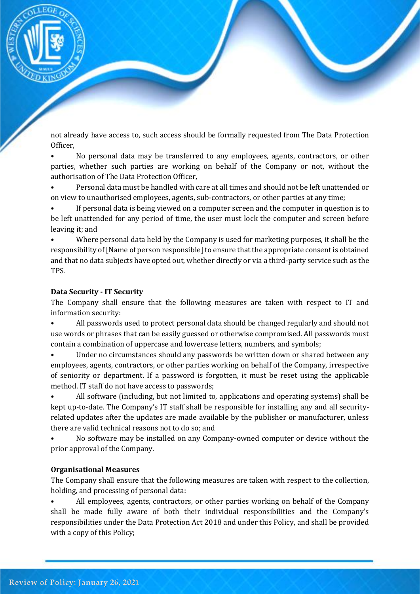

not already have access to, such access should be formally requested from The Data Protection Officer,

• No personal data may be transferred to any employees, agents, contractors, or other parties, whether such parties are working on behalf of the Company or not, without the authorisation of The Data Protection Officer,

• Personal data must be handled with care at all times and should not be left unattended or on view to unauthorised employees, agents, sub-contractors, or other parties at any time;

If personal data is being viewed on a computer screen and the computer in question is to be left unattended for any period of time, the user must lock the computer and screen before leaving it; and

• Where personal data held by the Company is used for marketing purposes, it shall be the responsibility of [Name of person responsible] to ensure that the appropriate consent is obtained and that no data subjects have opted out, whether directly or via a third-party service such as the TPS.

## **Data Security - IT Security**

The Company shall ensure that the following measures are taken with respect to IT and information security:

• All passwords used to protect personal data should be changed regularly and should not use words or phrases that can be easily guessed or otherwise compromised. All passwords must contain a combination of uppercase and lowercase letters, numbers, and symbols;

• Under no circumstances should any passwords be written down or shared between any employees, agents, contractors, or other parties working on behalf of the Company, irrespective of seniority or department. If a password is forgotten, it must be reset using the applicable method. IT staff do not have access to passwords;

• All software (including, but not limited to, applications and operating systems) shall be kept up-to-date. The Company's IT staff shall be responsible for installing any and all securityrelated updates after the updates are made available by the publisher or manufacturer, unless there are valid technical reasons not to do so; and

• No software may be installed on any Company-owned computer or device without the prior approval of the Company.

## **Organisational Measures**

The Company shall ensure that the following measures are taken with respect to the collection, holding, and processing of personal data:

• All employees, agents, contractors, or other parties working on behalf of the Company shall be made fully aware of both their individual responsibilities and the Company's responsibilities under the Data Protection Act 2018 and under this Policy, and shall be provided with a copy of this Policy;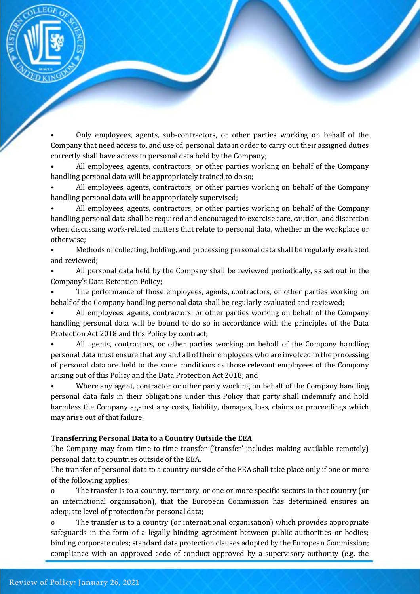

• Only employees, agents, sub-contractors, or other parties working on behalf of the Company that need access to, and use of, personal data in order to carry out their assigned duties correctly shall have access to personal data held by the Company;

• All employees, agents, contractors, or other parties working on behalf of the Company handling personal data will be appropriately trained to do so;

• All employees, agents, contractors, or other parties working on behalf of the Company handling personal data will be appropriately supervised;

• All employees, agents, contractors, or other parties working on behalf of the Company handling personal data shall be required and encouraged to exercise care, caution, and discretion when discussing work-related matters that relate to personal data, whether in the workplace or otherwise;

• Methods of collecting, holding, and processing personal data shall be regularly evaluated and reviewed;

• All personal data held by the Company shall be reviewed periodically, as set out in the Company's Data Retention Policy;

The performance of those employees, agents, contractors, or other parties working on behalf of the Company handling personal data shall be regularly evaluated and reviewed;

• All employees, agents, contractors, or other parties working on behalf of the Company handling personal data will be bound to do so in accordance with the principles of the Data Protection Act 2018 and this Policy by contract;

• All agents, contractors, or other parties working on behalf of the Company handling personal data must ensure that any and all of their employees who are involved in the processing of personal data are held to the same conditions as those relevant employees of the Company arising out of this Policy and the Data Protection Act 2018; and

• Where any agent, contractor or other party working on behalf of the Company handling personal data fails in their obligations under this Policy that party shall indemnify and hold harmless the Company against any costs, liability, damages, loss, claims or proceedings which may arise out of that failure.

## **Transferring Personal Data to a Country Outside the EEA**

The Company may from time-to-time transfer ('transfer' includes making available remotely) personal data to countries outside of the EEA.

The transfer of personal data to a country outside of the EEA shall take place only if one or more of the following applies:

o The transfer is to a country, territory, or one or more specific sectors in that country (or an international organisation), that the European Commission has determined ensures an adequate level of protection for personal data;

o The transfer is to a country (or international organisation) which provides appropriate safeguards in the form of a legally binding agreement between public authorities or bodies; binding corporate rules; standard data protection clauses adopted by the European Commission; compliance with an approved code of conduct approved by a supervisory authority (e.g. the